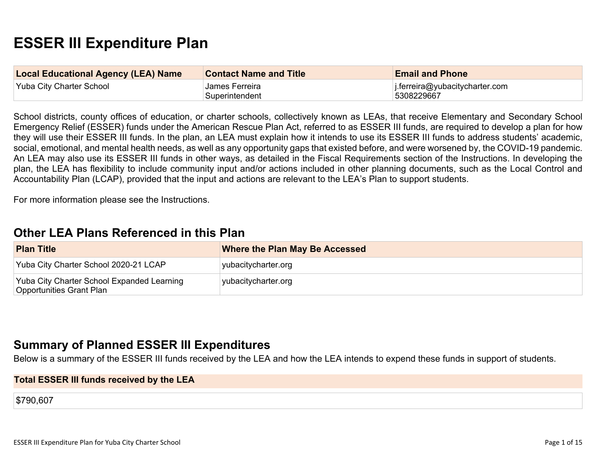# **ESSER III Expenditure Plan**

| <b>Local Educational Agency (LEA) Name</b> | <b>Contact Name and Title</b> | <b>Email and Phone</b>                 |
|--------------------------------------------|-------------------------------|----------------------------------------|
| Yuba City Charter School                   | James Ferreira                | $\vert$ i.ferreira@yubacitycharter.com |
|                                            | Superintendent                | 5308229667                             |

School districts, county offices of education, or charter schools, collectively known as LEAs, that receive Elementary and Secondary School Emergency Relief (ESSER) funds under the American Rescue Plan Act, referred to as ESSER III funds, are required to develop a plan for how they will use their ESSER III funds. In the plan, an LEA must explain how it intends to use its ESSER III funds to address students' academic, social, emotional, and mental health needs, as well as any opportunity gaps that existed before, and were worsened by, the COVID-19 pandemic. An LEA may also use its ESSER III funds in other ways, as detailed in the Fiscal Requirements section of the Instructions. In developing the plan, the LEA has flexibility to include community input and/or actions included in other planning documents, such as the Local Control and Accountability Plan (LCAP), provided that the input and actions are relevant to the LEA's Plan to support students.

For more information please see the Instructions.

# **[Other LEA Plans Referenced in this Plan](#page-9-0)**

| <b>Plan Title</b>                                                      | <b>Where the Plan May Be Accessed</b> |
|------------------------------------------------------------------------|---------------------------------------|
| Yuba City Charter School 2020-21 LCAP                                  | yubacitycharter.org                   |
| Yuba City Charter School Expanded Learning<br>Opportunities Grant Plan | yubacitycharter.org                   |

# **[Summary of Planned ESSER III Expenditures](#page-9-1)**

Below is a summary of the ESSER III funds received by the LEA and how the LEA intends to expend these funds in support of students.

#### **Total ESSER III funds received by the LEA**

\$790,607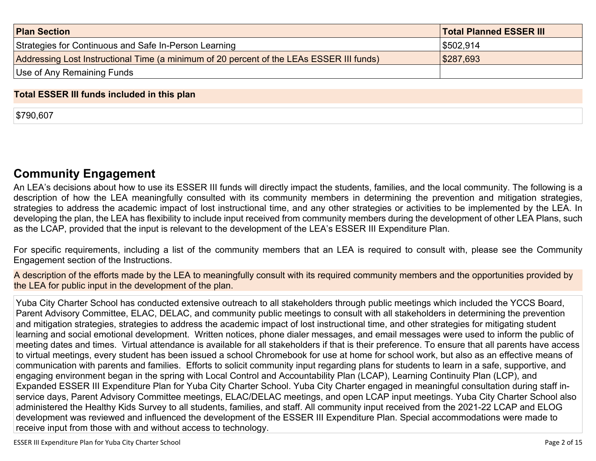| <b>Plan Section</b>                                                                      | <b>Total Planned ESSER III</b> |
|------------------------------------------------------------------------------------------|--------------------------------|
| Strategies for Continuous and Safe In-Person Learning                                    | 5502,914                       |
| Addressing Lost Instructional Time (a minimum of 20 percent of the LEAs ESSER III funds) | \$287,693                      |
| Use of Any Remaining Funds                                                               |                                |

### **Total ESSER III funds included in this plan**

\$790,607

# **[Community Engagement](#page-10-0)**

An LEA's decisions about how to use its ESSER III funds will directly impact the students, families, and the local community. The following is a description of how the LEA meaningfully consulted with its community members in determining the prevention and mitigation strategies, strategies to address the academic impact of lost instructional time, and any other strategies or activities to be implemented by the LEA. In developing the plan, the LEA has flexibility to include input received from community members during the development of other LEA Plans, such as the LCAP, provided that the input is relevant to the development of the LEA's ESSER III Expenditure Plan.

For specific requirements, including a list of the community members that an LEA is required to consult with, please see the Community Engagement section of the Instructions.

A description of the efforts made by the LEA to meaningfully consult with its required community members and the opportunities provided by the LEA for public input in the development of the plan.

Yuba City Charter School has conducted extensive outreach to all stakeholders through public meetings which included the YCCS Board, Parent Advisory Committee, ELAC, DELAC, and community public meetings to consult with all stakeholders in determining the prevention and mitigation strategies, strategies to address the academic impact of lost instructional time, and other strategies for mitigating student learning and social emotional development. Written notices, phone dialer messages, and email messages were used to inform the public of meeting dates and times. Virtual attendance is available for all stakeholders if that is their preference. To ensure that all parents have access to virtual meetings, every student has been issued a school Chromebook for use at home for school work, but also as an effective means of communication with parents and families. Efforts to solicit community input regarding plans for students to learn in a safe, supportive, and engaging environment began in the spring with Local Control and Accountability Plan (LCAP), Learning Continuity Plan (LCP), and Expanded ESSER III Expenditure Plan for Yuba City Charter School. Yuba City Charter engaged in meaningful consultation during staff inservice days, Parent Advisory Committee meetings, ELAC/DELAC meetings, and open LCAP input meetings. Yuba City Charter School also administered the Healthy Kids Survey to all students, families, and staff. All community input received from the 2021-22 LCAP and ELOG development was reviewed and influenced the development of the ESSER III Expenditure Plan. Special accommodations were made to receive input from those with and without access to technology.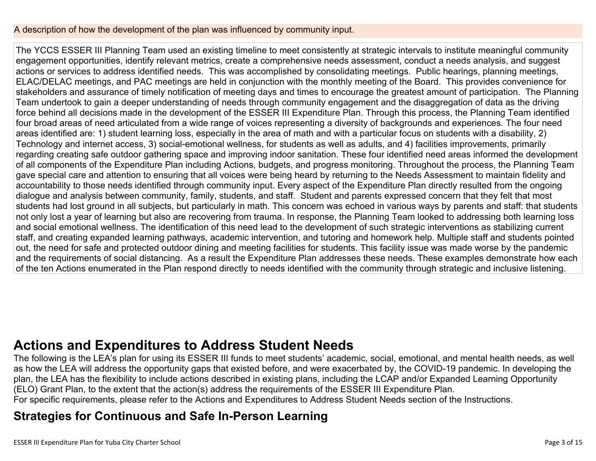## A description of how the development of the plan was influenced by community input.

The YCCS ESSER III Planning Team used an existing timeline to meet consistently at strategic intervals to institute meaningful community engagement opportunities, identify relevant metrics, create a comprehensive needs assessment, conduct a needs analysis, and suggest actions or services to address identified needs. This was accomplished by consolidating meetings. Public hearings, planning meetings, ELAC/DELAC meetings, and PAC meetings are held in conjunction with the monthly meeting of the Board. This provides convenience for stakeholders and assurance of timely notification of meeting days and times to encourage the greatest amount of participation. The Planning Team undertook to gain a deeper understanding of needs through community engagement and the disaggregation of data as the driving force behind all decisions made in the development of the ESSER III Expenditure Plan. Through this process, the Planning Team identified four broad areas of need articulated from a wide range of voices representing a diversity of backgrounds and experiences. The four need areas identified are: 1) student learning loss, especially in the area of math and with a particular focus on students with a disability, 2) Technology and internet access, 3) social-emotional wellness, for students as well as adults, and 4) facilities improvements, primarily regarding creating safe outdoor gathering space and improving indoor sanitation. These four identified need areas informed the development of all components of the Expenditure Plan including Actions, budgets, and progress monitoring. Throughout the process, the Planning Team gave special care and attention to ensuring that all voices were being heard by returning to the Needs Assessment to maintain fidelity and accountability to those needs identified through community input. Every aspect of the Expenditure Plan directly resulted from the ongoing dialogue and analysis between community, family, students, and staff. Student and parents expressed concern that they felt that most students had lost ground in all subjects, but particularly in math. This concern was echoed in various ways by parents and staff: that students not only lost a year of learning but also are recovering from trauma. In response, the Planning Team looked to addressing both learning loss and social emotional wellness. The identification of this need lead to the development of such strategic interventions as stabilizing current staff, and creating expanded learning pathways, academic intervention, and tutoring and homework help. Multiple staff and students pointed out, the need for safe and protected outdoor dining and meeting facilities for students. This facility issue was made worse by the pandemic and the requirements of social distancing. As a result the Expenditure Plan addresses these needs. These examples demonstrate how each of the ten Actions enumerated in the Plan respond directly to needs identified with the community through strategic and inclusive listening.

# **[Actions and Expenditures to Address Student Needs](#page-12-0)**

The following is the LEA's plan for using its ESSER III funds to meet students' academic, social, emotional, and mental health needs, as well as how the LEA will address the opportunity gaps that existed before, and were exacerbated by, the COVID-19 pandemic. In developing the plan, the LEA has the flexibility to include actions described in existing plans, including the LCAP and/or Expanded Learning Opportunity (ELO) Grant Plan, to the extent that the action(s) address the requirements of the ESSER III Expenditure Plan. For specific requirements, please refer to the Actions and Expenditures to Address Student Needs section of the Instructions.

# **[Strategies for Continuous and Safe In-Person Learning](#page-12-1)**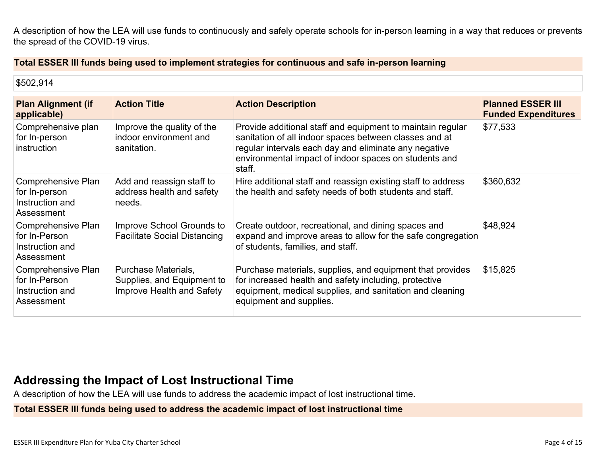A description of how the LEA will use funds to continuously and safely operate schools for in-person learning in a way that reduces or prevents the spread of the COVID-19 virus.

### **Total ESSER III funds being used to implement strategies for continuous and safe in-person learning**

| \$502,914                                                            |                                                                                |                                                                                                                                                                                                                                                  |                                                        |
|----------------------------------------------------------------------|--------------------------------------------------------------------------------|--------------------------------------------------------------------------------------------------------------------------------------------------------------------------------------------------------------------------------------------------|--------------------------------------------------------|
| <b>Plan Alignment (if</b><br>applicable)                             | <b>Action Title</b>                                                            | <b>Action Description</b>                                                                                                                                                                                                                        | <b>Planned ESSER III</b><br><b>Funded Expenditures</b> |
| Comprehensive plan<br>for In-person<br>instruction                   | Improve the quality of the<br>indoor environment and<br>sanitation.            | Provide additional staff and equipment to maintain regular<br>sanitation of all indoor spaces between classes and at<br>regular intervals each day and eliminate any negative<br>environmental impact of indoor spaces on students and<br>staff. | \$77,533                                               |
| Comprehensive Plan<br>for In-person<br>Instruction and<br>Assessment | Add and reassign staff to<br>address health and safety<br>needs.               | Hire additional staff and reassign existing staff to address<br>the health and safety needs of both students and staff.                                                                                                                          | \$360,632                                              |
| Comprehensive Plan<br>for In-Person<br>Instruction and<br>Assessment | Improve School Grounds to<br><b>Facilitate Social Distancing</b>               | Create outdoor, recreational, and dining spaces and<br>expand and improve areas to allow for the safe congregation<br>of students, families, and staff.                                                                                          | \$48,924                                               |
| Comprehensive Plan<br>for In-Person<br>Instruction and<br>Assessment | Purchase Materials,<br>Supplies, and Equipment to<br>Improve Health and Safety | Purchase materials, supplies, and equipment that provides<br>for increased health and safety including, protective<br>equipment, medical supplies, and sanitation and cleaning<br>equipment and supplies.                                        | \$15,825                                               |

# **[Addressing the Impact of Lost Instructional Time](#page-13-0)**

A description of how the LEA will use funds to address the academic impact of lost instructional time.

**Total ESSER III funds being used to address the academic impact of lost instructional time**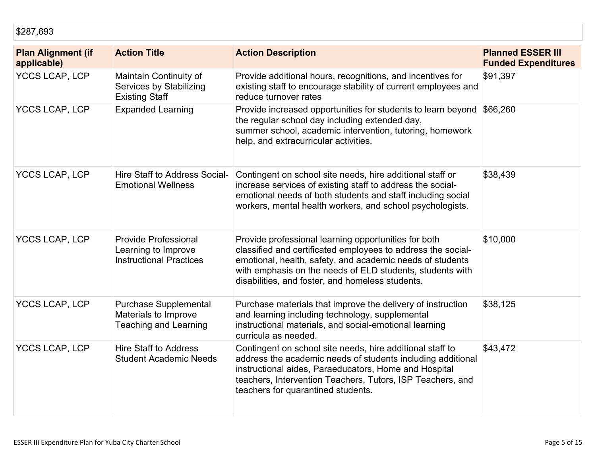| <b>Plan Alignment (if</b><br>applicable) | <b>Action Title</b>                                                                  | <b>Action Description</b>                                                                                                                                                                                                                                                                          | <b>Planned ESSER III</b><br><b>Funded Expenditures</b> |
|------------------------------------------|--------------------------------------------------------------------------------------|----------------------------------------------------------------------------------------------------------------------------------------------------------------------------------------------------------------------------------------------------------------------------------------------------|--------------------------------------------------------|
| <b>YCCS LCAP, LCP</b>                    | Maintain Continuity of<br>Services by Stabilizing<br><b>Existing Staff</b>           | Provide additional hours, recognitions, and incentives for<br>existing staff to encourage stability of current employees and<br>reduce turnover rates                                                                                                                                              | \$91,397                                               |
| <b>YCCS LCAP, LCP</b>                    | <b>Expanded Learning</b>                                                             | Provide increased opportunities for students to learn beyond<br>the regular school day including extended day,<br>summer school, academic intervention, tutoring, homework<br>help, and extracurricular activities.                                                                                | \$66,260                                               |
| <b>YCCS LCAP, LCP</b>                    | Hire Staff to Address Social-<br><b>Emotional Wellness</b>                           | Contingent on school site needs, hire additional staff or<br>increase services of existing staff to address the social-<br>emotional needs of both students and staff including social<br>workers, mental health workers, and school psychologists.                                                | \$38,439                                               |
| <b>YCCS LCAP, LCP</b>                    | <b>Provide Professional</b><br>Learning to Improve<br><b>Instructional Practices</b> | Provide professional learning opportunities for both<br>classified and certificated employees to address the social-<br>emotional, health, safety, and academic needs of students<br>with emphasis on the needs of ELD students, students with<br>disabilities, and foster, and homeless students. | \$10,000                                               |
| <b>YCCS LCAP, LCP</b>                    | <b>Purchase Supplemental</b><br>Materials to Improve<br><b>Teaching and Learning</b> | Purchase materials that improve the delivery of instruction<br>and learning including technology, supplemental<br>instructional materials, and social-emotional learning<br>curricula as needed.                                                                                                   | \$38,125                                               |
| YCCS LCAP, LCP                           | <b>Hire Staff to Address</b><br><b>Student Academic Needs</b>                        | Contingent on school site needs, hire additional staff to<br>address the academic needs of students including additional<br>instructional aides, Paraeducators, Home and Hospital<br>teachers, Intervention Teachers, Tutors, ISP Teachers, and<br>teachers for quarantined students.              | \$43,472                                               |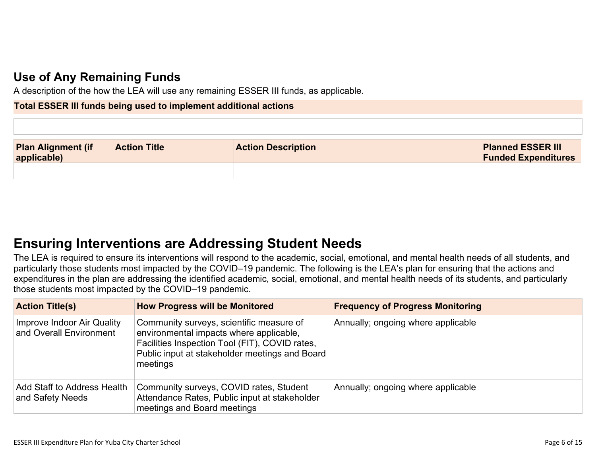# **[Use of Any Remaining Funds](#page-13-1)**

A description of the how the LEA will use any remaining ESSER III funds, as applicable.

### **Total ESSER III funds being used to implement additional actions**

| <b>Plan Alignment (if</b><br>applicable) | <b>Action Title</b> | <b>Action Description</b> | <b>Planned ESSER III</b><br><b>Funded Expenditures</b> |
|------------------------------------------|---------------------|---------------------------|--------------------------------------------------------|
|                                          |                     |                           |                                                        |

# **[Ensuring Interventions are Addressing Student Needs](#page-13-2)**

The LEA is required to ensure its interventions will respond to the academic, social, emotional, and mental health needs of all students, and particularly those students most impacted by the COVID–19 pandemic. The following is the LEA's plan for ensuring that the actions and expenditures in the plan are addressing the identified academic, social, emotional, and mental health needs of its students, and particularly those students most impacted by the COVID–19 pandemic.

| <b>Action Title(s)</b>                                | <b>How Progress will be Monitored</b>                                                                                                                                                               | <b>Frequency of Progress Monitoring</b> |
|-------------------------------------------------------|-----------------------------------------------------------------------------------------------------------------------------------------------------------------------------------------------------|-----------------------------------------|
| Improve Indoor Air Quality<br>and Overall Environment | Community surveys, scientific measure of<br>environmental impacts where applicable,<br>Facilities Inspection Tool (FIT), COVID rates,<br>Public input at stakeholder meetings and Board<br>meetings | Annually; ongoing where applicable      |
| Add Staff to Address Health<br>and Safety Needs       | Community surveys, COVID rates, Student<br>Attendance Rates, Public input at stakeholder<br>meetings and Board meetings                                                                             | Annually; ongoing where applicable      |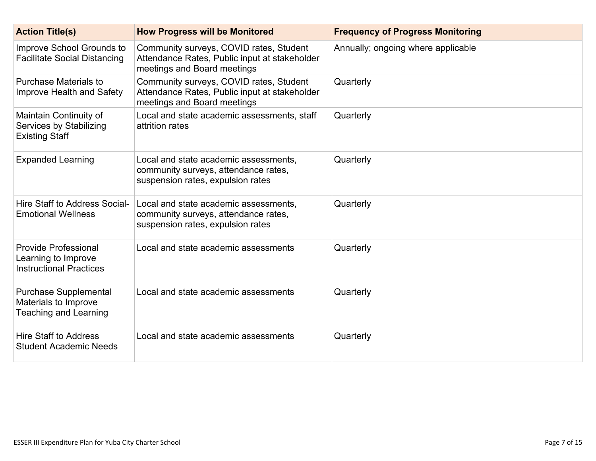| <b>Action Title(s)</b>                                                               | <b>How Progress will be Monitored</b>                                                                                   | <b>Frequency of Progress Monitoring</b> |
|--------------------------------------------------------------------------------------|-------------------------------------------------------------------------------------------------------------------------|-----------------------------------------|
| Improve School Grounds to<br><b>Facilitate Social Distancing</b>                     | Community surveys, COVID rates, Student<br>Attendance Rates, Public input at stakeholder<br>meetings and Board meetings | Annually; ongoing where applicable      |
| <b>Purchase Materials to</b><br>Improve Health and Safety                            | Community surveys, COVID rates, Student<br>Attendance Rates, Public input at stakeholder<br>meetings and Board meetings | Quarterly                               |
| Maintain Continuity of<br>Services by Stabilizing<br><b>Existing Staff</b>           | Local and state academic assessments, staff<br>attrition rates                                                          | Quarterly                               |
| <b>Expanded Learning</b>                                                             | Local and state academic assessments,<br>community surveys, attendance rates,<br>suspension rates, expulsion rates      | Quarterly                               |
| Hire Staff to Address Social-<br><b>Emotional Wellness</b>                           | Local and state academic assessments,<br>community surveys, attendance rates,<br>suspension rates, expulsion rates      | Quarterly                               |
| <b>Provide Professional</b><br>Learning to Improve<br><b>Instructional Practices</b> | Local and state academic assessments                                                                                    | Quarterly                               |
| <b>Purchase Supplemental</b><br>Materials to Improve<br><b>Teaching and Learning</b> | Local and state academic assessments                                                                                    | Quarterly                               |
| <b>Hire Staff to Address</b><br><b>Student Academic Needs</b>                        | Local and state academic assessments                                                                                    | Quarterly                               |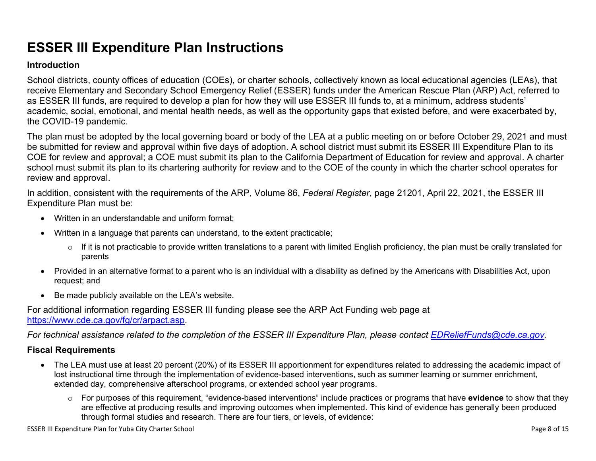# **ESSER III Expenditure Plan Instructions**

### **Introduction**

School districts, county offices of education (COEs), or charter schools, collectively known as local educational agencies (LEAs), that receive Elementary and Secondary School Emergency Relief (ESSER) funds under the American Rescue Plan (ARP) Act, referred to as ESSER III funds, are required to develop a plan for how they will use ESSER III funds to, at a minimum, address students' academic, social, emotional, and mental health needs, as well as the opportunity gaps that existed before, and were exacerbated by, the COVID-19 pandemic.

The plan must be adopted by the local governing board or body of the LEA at a public meeting on or before October 29, 2021 and must be submitted for review and approval within five days of adoption. A school district must submit its ESSER III Expenditure Plan to its COE for review and approval; a COE must submit its plan to the California Department of Education for review and approval. A charter school must submit its plan to its chartering authority for review and to the COE of the county in which the charter school operates for review and approval.

In addition, consistent with the requirements of the ARP, Volume 86, *Federal Register*, page 21201, April 22, 2021, the ESSER III Expenditure Plan must be:

- Written in an understandable and uniform format;
- Written in a language that parents can understand, to the extent practicable;
	- $\circ$  If it is not practicable to provide written translations to a parent with limited English proficiency, the plan must be orally translated for parents
- Provided in an alternative format to a parent who is an individual with a disability as defined by the Americans with Disabilities Act, upon request; and
- Be made publicly available on the LEA's website.

For additional information regarding ESSER III funding please see the ARP Act Funding web page at <https://www.cde.ca.gov/fg/cr/arpact.asp>.

*For technical assistance related to the completion of the ESSER III Expenditure Plan, please contact [EDReliefFunds@cde.ca.gov](mailto:EDReliefFunds@cde.ca.gov).* 

## **Fiscal Requirements**

- The LEA must use at least 20 percent (20%) of its ESSER III apportionment for expenditures related to addressing the academic impact of lost instructional time through the implementation of evidence-based interventions, such as summer learning or summer enrichment, extended day, comprehensive afterschool programs, or extended school year programs.
	- o For purposes of this requirement, "evidence-based interventions" include practices or programs that have **evidence** to show that they are effective at producing results and improving outcomes when implemented. This kind of evidence has generally been produced through formal studies and research. There are four tiers, or levels, of evidence: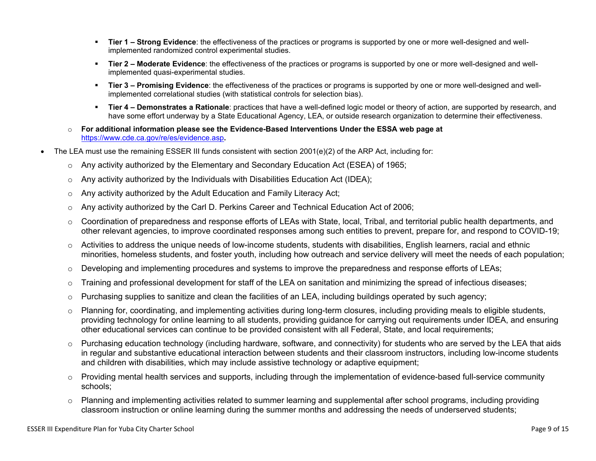- **Tier 1 Strong Evidence**: the effectiveness of the practices or programs is supported by one or more well-designed and wellimplemented randomized control experimental studies.
- **Tier 2 Moderate Evidence**: the effectiveness of the practices or programs is supported by one or more well-designed and wellimplemented quasi-experimental studies.
- Tier 3 Promising Evidence: the effectiveness of the practices or programs is supported by one or more well-designed and wellimplemented correlational studies (with statistical controls for selection bias).
- **EXTIET 4 Demonstrates a Rationale**: practices that have a well-defined logic model or theory of action, are supported by research, and have some effort underway by a State Educational Agency, LEA, or outside research organization to determine their effectiveness.
- o **For additional information please see the Evidence-Based Interventions Under the ESSA web page at**  <https://www.cde.ca.gov/re/es/evidence.asp>**.**
- The LEA must use the remaining ESSER III funds consistent with section 2001(e)(2) of the ARP Act, including for:
	- $\circ$  Any activity authorized by the Elementary and Secondary Education Act (ESEA) of 1965;
	- $\circ$  Any activity authorized by the Individuals with Disabilities Education Act (IDEA);
	- o Any activity authorized by the Adult Education and Family Literacy Act;
	- $\circ$  Any activity authorized by the Carl D. Perkins Career and Technical Education Act of 2006;
	- $\circ$  Coordination of preparedness and response efforts of LEAs with State, local, Tribal, and territorial public health departments, and other relevant agencies, to improve coordinated responses among such entities to prevent, prepare for, and respond to COVID-19;
	- $\circ$  Activities to address the unique needs of low-income students, students with disabilities, English learners, racial and ethnic minorities, homeless students, and foster youth, including how outreach and service delivery will meet the needs of each population;
	- o Developing and implementing procedures and systems to improve the preparedness and response efforts of LEAs;
	- $\circ$  Training and professional development for staff of the LEA on sanitation and minimizing the spread of infectious diseases;
	- $\circ$  Purchasing supplies to sanitize and clean the facilities of an LEA, including buildings operated by such agency;
	- $\circ$  Planning for, coordinating, and implementing activities during long-term closures, including providing meals to eligible students, providing technology for online learning to all students, providing guidance for carrying out requirements under IDEA, and ensuring other educational services can continue to be provided consistent with all Federal, State, and local requirements;
	- $\circ$  Purchasing education technology (including hardware, software, and connectivity) for students who are served by the LEA that aids in regular and substantive educational interaction between students and their classroom instructors, including low-income students and children with disabilities, which may include assistive technology or adaptive equipment;
	- $\circ$  Providing mental health services and supports, including through the implementation of evidence-based full-service community schools;
	- o Planning and implementing activities related to summer learning and supplemental after school programs, including providing classroom instruction or online learning during the summer months and addressing the needs of underserved students;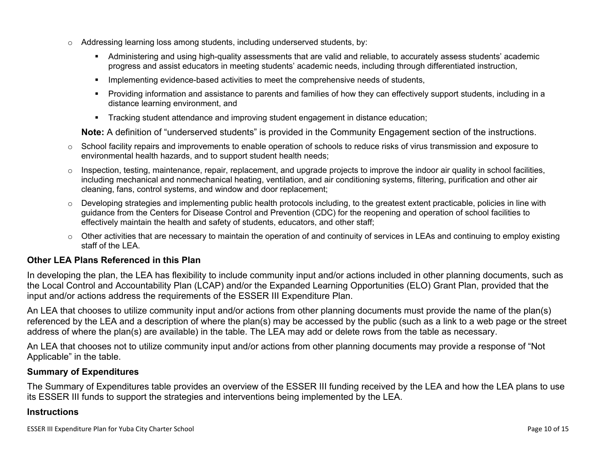- $\circ$  Addressing learning loss among students, including underserved students, by:
	- Administering and using high-quality assessments that are valid and reliable, to accurately assess students' academic progress and assist educators in meeting students' academic needs, including through differentiated instruction,
	- **•** Implementing evidence-based activities to meet the comprehensive needs of students,
	- Providing information and assistance to parents and families of how they can effectively support students, including in a distance learning environment, and
	- Tracking student attendance and improving student engagement in distance education;

**Note:** A definition of "underserved students" is provided in the Community Engagement section of the instructions.

- $\circ$  School facility repairs and improvements to enable operation of schools to reduce risks of virus transmission and exposure to environmental health hazards, and to support student health needs;
- $\circ$  Inspection, testing, maintenance, repair, replacement, and upgrade projects to improve the indoor air quality in school facilities, including mechanical and nonmechanical heating, ventilation, and air conditioning systems, filtering, purification and other air cleaning, fans, control systems, and window and door replacement;
- $\circ$  Developing strategies and implementing public health protocols including, to the greatest extent practicable, policies in line with guidance from the Centers for Disease Control and Prevention (CDC) for the reopening and operation of school facilities to effectively maintain the health and safety of students, educators, and other staff;
- $\circ$  Other activities that are necessary to maintain the operation of and continuity of services in LEAs and continuing to employ existing staff of the LEA.

## <span id="page-9-0"></span>**Other LEA Plans Referenced in this Plan**

In developing the plan, the LEA has flexibility to include community input and/or actions included in other planning documents, such as the Local Control and Accountability Plan (LCAP) and/or the Expanded Learning Opportunities (ELO) Grant Plan, provided that the input and/or actions address the requirements of the ESSER III Expenditure Plan.

An LEA that chooses to utilize community input and/or actions from other planning documents must provide the name of the plan(s) referenced by the LEA and a description of where the plan(s) may be accessed by the public (such as a link to a web page or the street address of where the plan(s) are available) in the table. The LEA may add or delete rows from the table as necessary.

An LEA that chooses not to utilize community input and/or actions from other planning documents may provide a response of "Not Applicable" in the table.

### <span id="page-9-1"></span>**Summary of Expenditures**

The Summary of Expenditures table provides an overview of the ESSER III funding received by the LEA and how the LEA plans to use its ESSER III funds to support the strategies and interventions being implemented by the LEA.

#### **Instructions**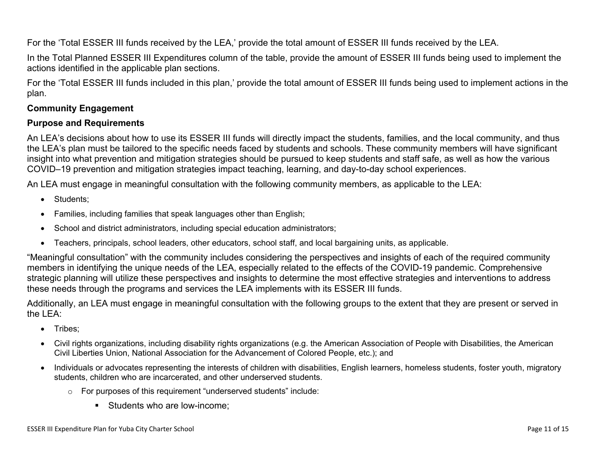For the 'Total ESSER III funds received by the LEA,' provide the total amount of ESSER III funds received by the LEA.

In the Total Planned ESSER III Expenditures column of the table, provide the amount of ESSER III funds being used to implement the actions identified in the applicable plan sections.

For the 'Total ESSER III funds included in this plan,' provide the total amount of ESSER III funds being used to implement actions in the plan.

## <span id="page-10-0"></span>**Community Engagement**

### **Purpose and Requirements**

An LEA's decisions about how to use its ESSER III funds will directly impact the students, families, and the local community, and thus the LEA's plan must be tailored to the specific needs faced by students and schools. These community members will have significant insight into what prevention and mitigation strategies should be pursued to keep students and staff safe, as well as how the various COVID–19 prevention and mitigation strategies impact teaching, learning, and day-to-day school experiences.

An LEA must engage in meaningful consultation with the following community members, as applicable to the LEA:

- Students:
- Families, including families that speak languages other than English;
- School and district administrators, including special education administrators;
- Teachers, principals, school leaders, other educators, school staff, and local bargaining units, as applicable.

"Meaningful consultation" with the community includes considering the perspectives and insights of each of the required community members in identifying the unique needs of the LEA, especially related to the effects of the COVID-19 pandemic. Comprehensive strategic planning will utilize these perspectives and insights to determine the most effective strategies and interventions to address these needs through the programs and services the LEA implements with its ESSER III funds.

Additionally, an LEA must engage in meaningful consultation with the following groups to the extent that they are present or served in the LEA:

- Tribes:
- Civil rights organizations, including disability rights organizations (e.g. the American Association of People with Disabilities, the American Civil Liberties Union, National Association for the Advancement of Colored People, etc.); and
- Individuals or advocates representing the interests of children with disabilities, English learners, homeless students, foster youth, migratory students, children who are incarcerated, and other underserved students.
	- o For purposes of this requirement "underserved students" include:
		- Students who are low-income: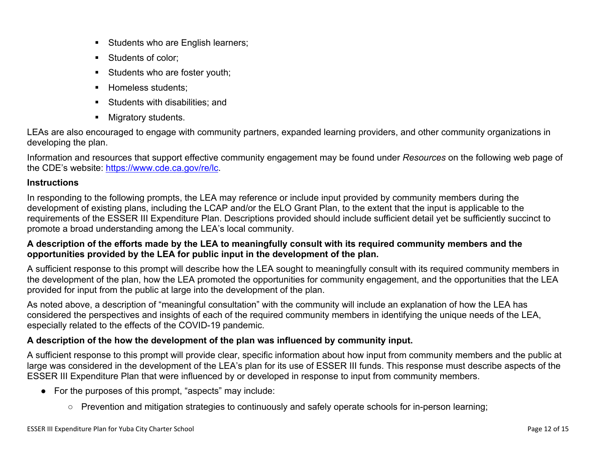- **EXECUTE:** Students who are English learners;
- Students of color:
- Students who are foster youth;
- **E** Homeless students;
- Students with disabilities: and
- Migratory students.

LEAs are also encouraged to engage with community partners, expanded learning providers, and other community organizations in developing the plan.

Information and resources that support effective community engagement may be found under *Resources* on the following web page of the CDE's website: <https://www.cde.ca.gov/re/lc>.

# **Instructions**

In responding to the following prompts, the LEA may reference or include input provided by community members during the development of existing plans, including the LCAP and/or the ELO Grant Plan, to the extent that the input is applicable to the requirements of the ESSER III Expenditure Plan. Descriptions provided should include sufficient detail yet be sufficiently succinct to promote a broad understanding among the LEA's local community.

# **A description of the efforts made by the LEA to meaningfully consult with its required community members and the opportunities provided by the LEA for public input in the development of the plan.**

A sufficient response to this prompt will describe how the LEA sought to meaningfully consult with its required community members in the development of the plan, how the LEA promoted the opportunities for community engagement, and the opportunities that the LEA provided for input from the public at large into the development of the plan.

As noted above, a description of "meaningful consultation" with the community will include an explanation of how the LEA has considered the perspectives and insights of each of the required community members in identifying the unique needs of the LEA, especially related to the effects of the COVID-19 pandemic.

# **A description of the how the development of the plan was influenced by community input.**

A sufficient response to this prompt will provide clear, specific information about how input from community members and the public at large was considered in the development of the LEA's plan for its use of ESSER III funds. This response must describe aspects of the ESSER III Expenditure Plan that were influenced by or developed in response to input from community members.

- For the purposes of this prompt, "aspects" may include:
	- Prevention and mitigation strategies to continuously and safely operate schools for in-person learning;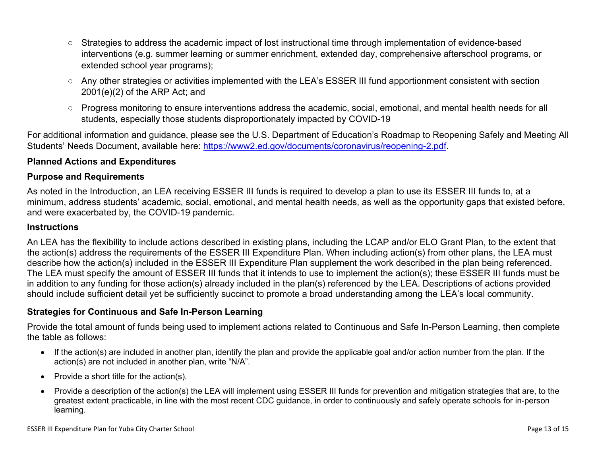- Strategies to address the academic impact of lost instructional time through implementation of evidence-based interventions (e.g. summer learning or summer enrichment, extended day, comprehensive afterschool programs, or extended school year programs);
- Any other strategies or activities implemented with the LEA's ESSER III fund apportionment consistent with section 2001(e)(2) of the ARP Act; and
- Progress monitoring to ensure interventions address the academic, social, emotional, and mental health needs for all students, especially those students disproportionately impacted by COVID-19

For additional information and guidance, please see the U.S. Department of Education's Roadmap to Reopening Safely and Meeting All Students' Needs Document, available here: [https://www2.ed.gov/documents/coronavirus/reopening-2.pdf.](https://www2.ed.gov/documents/coronavirus/reopening-2.pdf)

## <span id="page-12-0"></span>**Planned Actions and Expenditures**

### **Purpose and Requirements**

As noted in the Introduction, an LEA receiving ESSER III funds is required to develop a plan to use its ESSER III funds to, at a minimum, address students' academic, social, emotional, and mental health needs, as well as the opportunity gaps that existed before, and were exacerbated by, the COVID-19 pandemic.

#### **Instructions**

An LEA has the flexibility to include actions described in existing plans, including the LCAP and/or ELO Grant Plan, to the extent that the action(s) address the requirements of the ESSER III Expenditure Plan. When including action(s) from other plans, the LEA must describe how the action(s) included in the ESSER III Expenditure Plan supplement the work described in the plan being referenced. The LEA must specify the amount of ESSER III funds that it intends to use to implement the action(s); these ESSER III funds must be in addition to any funding for those action(s) already included in the plan(s) referenced by the LEA. Descriptions of actions provided should include sufficient detail yet be sufficiently succinct to promote a broad understanding among the LEA's local community.

### <span id="page-12-1"></span>**Strategies for Continuous and Safe In-Person Learning**

Provide the total amount of funds being used to implement actions related to Continuous and Safe In-Person Learning, then complete the table as follows:

- If the action(s) are included in another plan, identify the plan and provide the applicable goal and/or action number from the plan. If the action(s) are not included in another plan, write "N/A".
- Provide a short title for the action(s).
- Provide a description of the action(s) the LEA will implement using ESSER III funds for prevention and mitigation strategies that are, to the greatest extent practicable, in line with the most recent CDC guidance, in order to continuously and safely operate schools for in-person learning.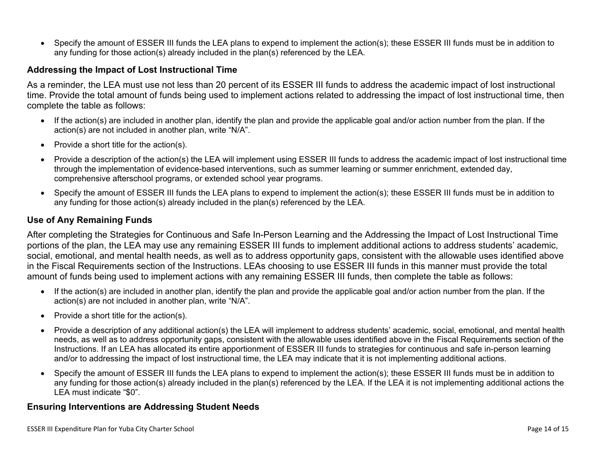• Specify the amount of ESSER III funds the LEA plans to expend to implement the action(s); these ESSER III funds must be in addition to any funding for those action(s) already included in the plan(s) referenced by the LEA.

#### <span id="page-13-0"></span>**Addressing the Impact of Lost Instructional Time**

As a reminder, the LEA must use not less than 20 percent of its ESSER III funds to address the academic impact of lost instructional time. Provide the total amount of funds being used to implement actions related to addressing the impact of lost instructional time, then complete the table as follows:

- If the action(s) are included in another plan, identify the plan and provide the applicable goal and/or action number from the plan. If the action(s) are not included in another plan, write "N/A".
- Provide a short title for the action(s).
- Provide a description of the action(s) the LEA will implement using ESSER III funds to address the academic impact of lost instructional time through the implementation of evidence-based interventions, such as summer learning or summer enrichment, extended day, comprehensive afterschool programs, or extended school year programs.
- Specify the amount of ESSER III funds the LEA plans to expend to implement the action(s); these ESSER III funds must be in addition to any funding for those action(s) already included in the plan(s) referenced by the LEA.

#### <span id="page-13-1"></span>**Use of Any Remaining Funds**

After completing the Strategies for Continuous and Safe In-Person Learning and the Addressing the Impact of Lost Instructional Time portions of the plan, the LEA may use any remaining ESSER III funds to implement additional actions to address students' academic, social, emotional, and mental health needs, as well as to address opportunity gaps, consistent with the allowable uses identified above in the Fiscal Requirements section of the Instructions. LEAs choosing to use ESSER III funds in this manner must provide the total amount of funds being used to implement actions with any remaining ESSER III funds, then complete the table as follows:

- If the action(s) are included in another plan, identify the plan and provide the applicable goal and/or action number from the plan. If the action(s) are not included in another plan, write "N/A".
- Provide a short title for the action(s).
- Provide a description of any additional action(s) the LEA will implement to address students' academic, social, emotional, and mental health needs, as well as to address opportunity gaps, consistent with the allowable uses identified above in the Fiscal Requirements section of the Instructions. If an LEA has allocated its entire apportionment of ESSER III funds to strategies for continuous and safe in-person learning and/or to addressing the impact of lost instructional time, the LEA may indicate that it is not implementing additional actions.
- Specify the amount of ESSER III funds the LEA plans to expend to implement the action(s); these ESSER III funds must be in addition to any funding for those action(s) already included in the plan(s) referenced by the LEA. If the LEA it is not implementing additional actions the LEA must indicate "\$0".

#### <span id="page-13-2"></span>**Ensuring Interventions are Addressing Student Needs**